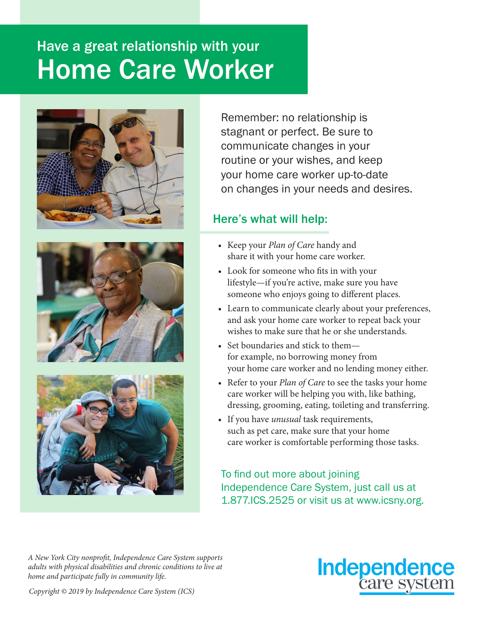## Have a great relationship with your Home Care Worker







Remember: no relationship is stagnant or perfect. Be sure to communicate changes in your routine or your wishes, and keep your home care worker up-to-date on changes in your needs and desires.

## Here's what will help:

- Keep your *Plan of Care* handy and share it with your home care worker.
- Look for someone who fits in with your lifestyle—if you're active, make sure you have someone who enjoys going to different places.
- Learn to communicate clearly about your preferences, and ask your home care worker to repeat back your wishes to make sure that he or she understands.
- Set boundaries and stick to them for example, no borrowing money from your home care worker and no lending money either.
- Refer to your *Plan of Care* to see the tasks your home care worker will be helping you with, like bathing, dressing, grooming, eating, toileting and transferring.
- If you have *unusual* task requirements, such as pet care, make sure that your home care worker is comfortable performing those tasks.

To find out more about joining Independence Care System, just call us at 1.877.ICS.2525 or visit us at www.icsny.org.

*A New York City nonprofit, Independence Care System supports adults with physical disabilities and chronic conditions to live at home and participate fully in community life.*



*Copyright © 2019 by Independence Care System (ICS)*